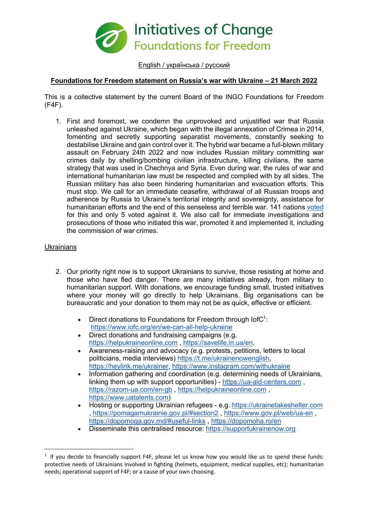

English / українська / русский

# **Foundations for Freedom statement on Russia's war with Ukraine – 21 March 2022**

This is a collective statement by the current Board of the INGO Foundations for Freedom (F4F).

1. First and foremost, we condemn the unprovoked and unjustified war that Russia unleashed against Ukraine, which began with the illegal annexation of Crimea in 2014, fomenting and secretly supporting separatist movements, constantly seeking to destabilise Ukraine and gain control over it. The hybrid war became a full-blown military assault on February 24th 2022 and now includes Russian military committing war crimes daily by shelling/bombing civilian infrastructure, killing civilians, the same strategy that was used in Chechnya and Syria. Even during war, the rules of war and international humanitarian law must be respected and complied with by all sides. The Russian military has also been hindering humanitarian and evacuation efforts. This must stop. We call for an immediate ceasefire, withdrawal of all Russian troops and adherence by Russia to Ukraine's territorial integrity and sovereignty, assistance for humanitarian efforts and the end of this senseless and terrible war. 141 nations voted for this and only 5 voted against it. We also call for immediate investigations and prosecutions of those who initiated this war, promoted it and implemented it, including the commission of war crimes.

## **Ukrainians**

- 2. Our priority right now is to support Ukrainians to survive, those resisting at home and those who have fled danger. There are many initiatives already, from military to humanitarian support. With donations, we encourage funding small, trusted initiatives where your money will go directly to help Ukrainians. Big organisations can be bureaucratic and your donation to them may not be as quick, effective or efficient.
	- Direct donations to Foundations for Freedom through  $1$ ofC<sup>1</sup>: https://www.iofc.org/en/we-can-all-help-ukraine
	- Direct donations and fundraising campaigns (e.g. https://helpukraineonline.com , https://savelife.in.ua/en.
	- Awareness-raising and advocacy (e.g. protests, petitions, letters to local politicians, media interviews) https://t.me/ukrainenowenglish, https://heylink.me/ukrainer, https://www.instagram.com/withukraine
	- Information gathering and coordination (e.g. determining needs of Ukrainians, linking them up with support opportunities) - https://ua-aid-centers.com , https://razom-ua.com/en-gb , https://helpukraineonline.com , https://www.uatalents.com)
	- Hosting or supporting Ukrainian refugees e.g. https://ukrainetakeshelter.com , https://pomagamukrainie.gov.pl/#section2 , https://www.gov.pl/web/ua-en , https://dopomoga.gov.md/#useful-links , https://dopomoha.ro/en
	- Disseminate this centralised resource: https://supportukrainenow.org

 $1$  If you decide to financially support F4F, please let us know how you would like us to spend these funds: protective needs of Ukrainians involved in fighting (helmets, equipment, medical supplies, etc); humanitarian needs; operational support of F4F; or a cause of your own choosing.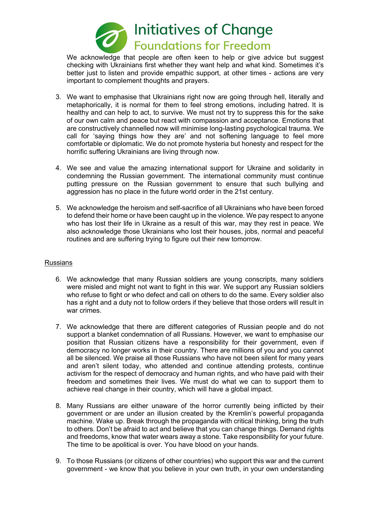

We acknowledge that people are often keen to help or give advice but suggest checking with Ukrainians first whether they want help and what kind. Sometimes it's better just to listen and provide empathic support, at other times - actions are very important to complement thoughts and prayers.

- 3. We want to emphasise that Ukrainians right now are going through hell, literally and metaphorically, it is normal for them to feel strong emotions, including hatred. It is healthy and can help to act, to survive. We must not try to suppress this for the sake of our own calm and peace but react with compassion and acceptance. Emotions that are constructively channelled now will minimise long-lasting psychological trauma. We call for 'saying things how they are' and not softening language to feel more comfortable or diplomatic. We do not promote hysteria but honesty and respect for the horrific suffering Ukrainians are living through now.
- 4. We see and value the amazing international support for Ukraine and solidarity in condemning the Russian government. The international community must continue putting pressure on the Russian government to ensure that such bullying and aggression has no place in the future world order in the 21st century.
- 5. We acknowledge the heroism and self-sacrifice of all Ukrainians who have been forced to defend their home or have been caught up in the violence. We pay respect to anyone who has lost their life in Ukraine as a result of this war, may they rest in peace. We also acknowledge those Ukrainians who lost their houses, jobs, normal and peaceful routines and are suffering trying to figure out their new tomorrow.

### Russians

- 6. We acknowledge that many Russian soldiers are young conscripts, many soldiers were misled and might not want to fight in this war. We support any Russian soldiers who refuse to fight or who defect and call on others to do the same. Every soldier also has a right and a duty not to follow orders if they believe that those orders will result in war crimes.
- 7. We acknowledge that there are different categories of Russian people and do not support a blanket condemnation of all Russians. However, we want to emphasise our position that Russian citizens have a responsibility for their government, even if democracy no longer works in their country. There are millions of you and you cannot all be silenced. We praise all those Russians who have not been silent for many years and aren't silent today, who attended and continue attending protests, continue activism for the respect of democracy and human rights, and who have paid with their freedom and sometimes their lives. We must do what we can to support them to achieve real change in their country, which will have a global impact.
- 8. Many Russians are either unaware of the horror currently being inflicted by their government or are under an illusion created by the Kremlin's powerful propaganda machine. Wake up. Break through the propaganda with critical thinking, bring the truth to others. Don't be afraid to act and believe that you can change things. Demand rights and freedoms, know that water wears away a stone. Take responsibility for your future. The time to be apolitical is over. You have blood on your hands.
- 9. To those Russians (or citizens of other countries) who support this war and the current government - we know that you believe in your own truth, in your own understanding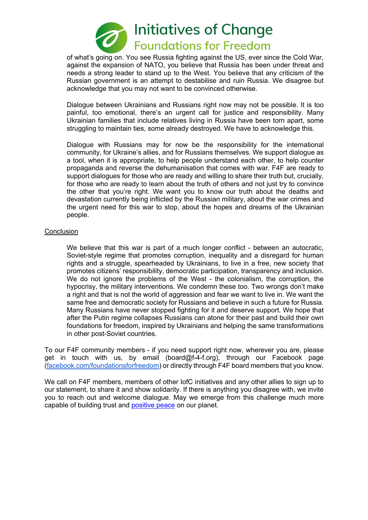

of what's going on. You see Russia fighting against the US, ever since the Cold War, against the expansion of NATO, you believe that Russia has been under threat and needs a strong leader to stand up to the West. You believe that any criticism of the Russian government is an attempt to destabilise and ruin Russia. We disagree but acknowledge that you may not want to be convinced otherwise.

Dialogue between Ukrainians and Russians right now may not be possible. It is too painful, too emotional, there's an urgent call for justice and responsibility. Many Ukrainian families that include relatives living in Russia have been torn apart, some struggling to maintain ties, some already destroyed. We have to acknowledge this.

Dialogue with Russians may for now be the responsibility for the international community, for Ukraine's allies, and for Russians themselves. We support dialogue as a tool, when it is appropriate, to help people understand each other, to help counter propaganda and reverse the dehumanisation that comes with war. F4F are ready to support dialogues for those who are ready and willing to share their truth but, crucially, for those who are ready to learn about the truth of others and not just try to convince the other that you're right. We want you to know our truth about the deaths and devastation currently being inflicted by the Russian military, about the war crimes and the urgent need for this war to stop, about the hopes and dreams of the Ukrainian people.

## **Conclusion**

We believe that this war is part of a much longer conflict - between an autocratic, Soviet-style regime that promotes corruption, inequality and a disregard for human rights and a struggle, spearheaded by Ukrainians, to live in a free, new society that promotes citizens' responsibility, democratic participation, transparency and inclusion. We do not ignore the problems of the West - the colonialism, the corruption, the hypocrisy, the military interventions. We condemn these too. Two wrongs don't make a right and that is not the world of aggression and fear we want to live in. We want the same free and democratic society for Russians and believe in such a future for Russia. Many Russians have never stopped fighting for it and deserve support. We hope that after the Putin regime collapses Russians can atone for their past and build their own foundations for freedom, inspired by Ukrainians and helping the same transformations in other post-Soviet countries.

To our F4F community members - if you need support right now, wherever you are, please get in touch with us, by email (board@f-4-f.org), through our Facebook page (facebook.com/foundationsforfreedom) or directly through F4F board members that you know.

We call on F4F members, members of other IofC initiatives and any other allies to sign up to our statement, to share it and show solidarity. If there is anything you disagree with, we invite you to reach out and welcome dialogue. May we emerge from this challenge much more capable of building trust and positive peace on our planet.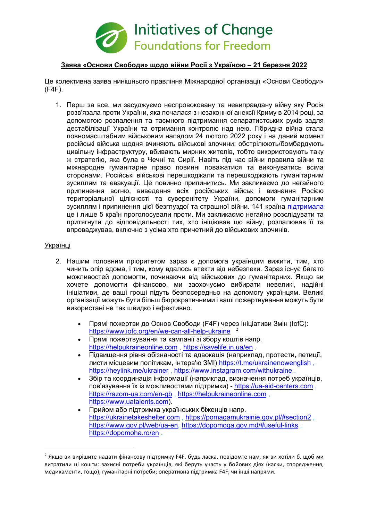

## **Заява «Основи Свободи» щодо війни Росії з Україною – 21 березня 2022**

Це колективна заява нинішнього правління Міжнародної організації «Основи Свободи» (F4F).

1. Перш за все, ми засуджуємо неспровоковану та невиправдану війну яку Росія розв'язала проти України, яка почалася з незаконної анексії Криму в 2014 році, за допомогою розпалення та таємного підтримання сепаратистських рухів задля дестабілізації України та отримання контролю над нею. Гібридна війна стала повномасштабним військовим нападом 24 лютого 2022 року і на даний момент російські війська щодня вчиняють військові злочини: обстрілюють/бомбардують цивільну інфраструктуру, вбивають мирних жителів, тобто використовують таку ж стратегію, яка була в Чечні та Сирії. Навіть під час війни правила війни та міжнародне гуманітарне право повинні поважатися та виконуватись всіма сторонами. Російські військові перешкоджали та перешкоджають гуманітарним зусиллям та евакуації. Це повинно припинитись. Ми закликаємо до негайного припинення вогню, виведення всіх російських військ і визнання Росією територіальної цілісності та суверенітету України, допомоги гуманітарним зусиллям і припинення цієї безглуздої та страшної війни. 141 країна підтримала це і лише 5 країн проголосували проти. Ми закликаємо негайно розслідувати та притягнути до відповідальності тих, хто ініціював цю війну, розпалював її та впроваджував, включно з усіма хто причетний до військових злочинів.

## Українці

- 2. Нашим головним пріоритетом зараз є допомога українцям вижити, тим, хто чинить опір вдома, і тим, кому вдалось втекти від небезпеки. Зараз існує багато можливостей допомогти, починаючи від військових до гуманітарних. Якщо ви хочете допомогти фінансово, ми заохочуємо вибирати невеликі, надійні ініціативи, де ваші гроші підуть безпосередньо на допомогу українцям. Великі організації можуть бути більш бюрократичними і ваші пожертвування можуть бути використані не так швидко і ефективно.
	- Прямі пожертви до Основ Свободи (F4F) через Ініціативи Змін (IofC): https://www.iofc.org/en/we-can-all-help-ukraine <sup>2</sup>
	- Прямі пожертвування та кампанії зі збору коштів напр. https://helpukraineonline.com , https://savelife.in.ua/en .
	- Підвищення рівня обізнаності та адвокація (наприклад, протести, петиції, листи місцевим політикам, інтерв'ю ЗМІ) https://t.me/ukrainenowenglish , https://heylink.me/ukrainer , https://www.instagram.com/withukraine .
	- Збір та координація інформації (наприклад, визначення потреб українців, пов'язування їх із можливостями підтримки) - https://ua-aid-centers.com , https://razom-ua.com/en-gb , https://helpukraineonline.com , https://www.uatalents.com).
	- Прийом або підтримка українських біженців напр. https://ukrainetakeshelter.com , https://pomagamukrainie.gov.pl/#section2 , https://www.gov.pl/web/ua-en, https://dopomoga.gov.md/#useful-links , https://dopomoha.ro/en .

<sup>&</sup>lt;sup>2</sup> Якщо ви вирішите надати фінансову підтримку F4F, будь ласка, повідомте нам, як ви хотіли б, щоб ми витратили ці кошти: захисні потреби українців, які беруть участь у бойових діях (каски, спорядження, медикаменти, тощо); гуманітарні потреби; оперативна підтримка F4F; чи інші напрями.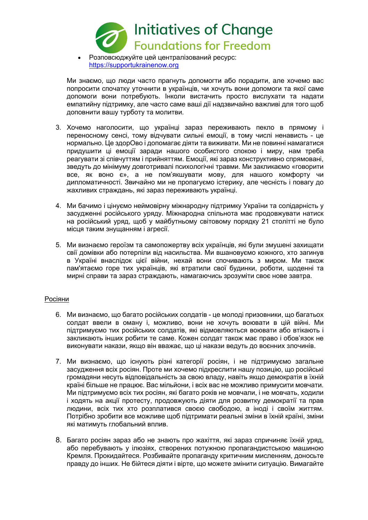

• Розповсюджуйте цей централізований ресурс: https://supportukrainenow.org

Ми знаємо, що люди часто прагнуть допомогти або порадити, але хочемо вас попросити спочатку уточнити в українців, чи хочуть вони допомоги та якої саме допомоги вони потребують. Інколи вистачить просто вислухати та надати емпатийну підтримку, але часто саме ваші дії надзвичайно важливі для того щоб доповнити вашу турботу та молитви.

- 3. Хочемо наголосити, що українці зараз переживають пекло в прямому і переносному сенсі, тому відчувати сильні емоції, в тому числі ненависть - це нормально. Це здорОво і допомагає діяти та виживати. Ми не повинні намагатися придушити ці емоції заради нашого особистого спокою і миру, нам треба реагувати зі співчуттям і прийняттям. Емоції, які зараз конструктивно спрямовані, зведуть до мінімуму довготривалі психологічні травми. Ми закликаємо «говорити все, як воно є», а не пом'якшувати мову, для нашого комфорту чи дипломатичності. Звичайно ми не пропагуємо істерику, але чесність і повагу до жахливих страждань, які зараз переживають українці.
- 4. Ми бачимо і цінуємо неймовірну міжнародну підтримку України та солідарність у засудженні російського уряду. Міжнародна спільнота має продовжувати натиск на російський уряд, щоб у майбутньому світовому порядку 21 столітті не було місця таким знущанням і агресії.
- 5. Ми визнаємо героїзм та самопожертву всіх українців, які були змушені захищати свії домівки або потерпіли від насильства. Ми вшановуємо кожного, хто загинув в Україні внаслідок цієї війни, нехай вони спочивають з миром. Ми також пам'ятаємо горе тих українців, які втратили свої будинки, роботи, щоденні та мирні справи та зараз страждають, намагаючись зрозуміти своє нове завтра.

## Росіяни

- 6. Ми визнаємо, що багато російських солдатів це молоді призовники, що багатьох солдат ввели в оману і, можливо, вони не хочуть воювати в цій війні. Ми підтримуємо тих російських солдатів, які відмовляються воювати або втікають і закликають інших робити те саме. Кожен солдат також має право і обов'язок не виконувати накази, якщо він вважає, що ці накази ведуть до воєнних злочинів.
- 7. Ми визнаємо, що існують різні категорії росіян, і не підтримуємо загальне засудження всіх росіян. Проте ми хочемо підкреслити нашу позицію, що російські громадяни несуть відповідальність за свою владу, навіть якщо демократія в їхній країні більше не працює. Вас мільйони, і всіх вас не можливо примусити мовчати. Ми підтримуємо всіх тих росіян, які багато років не мовчали, і не мовчать, ходили і ходять на акції протесту, продовжують діяти для розвитку демократії та прав людини, всіх тих хто розплатився своєю свободою, а іноді і своїм життям. Потрібно зробити все можливе щоб підтримати реальні зміни в їхній країні, зміни які матимуть глобальний вплив.
- 8. Багато росіян зараз або не знають про жахіття, які зараз спричиняє їхній уряд, або перебувають у ілюзіях, створених потужною пропагандистською машиною Кремля. Прокидайтеся. Розбивайте пропаганду критичним мисленням, доносьте правду до інших. Не бійтеся діяти і вірте, що можете змінити ситуацію. Вимагайте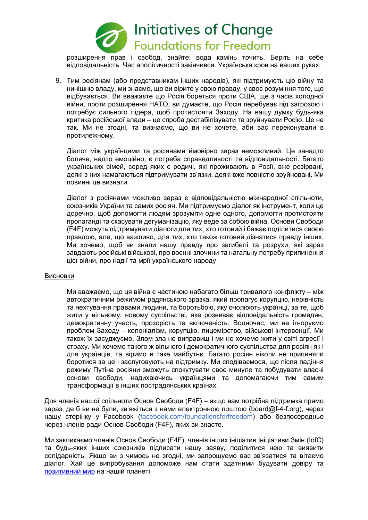

розширення прав і свобод, знайте: вода камінь точить. Беріть на себе відповідальність. Час аполітичності закінчився. Українська кров на ваших руках.

9. Тим росіянам (або представникам інших народів), які підтримують цю війну та нинішню владу, ми знаємо, що ви вірите у свою правду, у своє розуміння того, що відбувається. Ви вважаєте що Росія бореться проти США, ще з часів холодної війни, проти розширення НАТО, ви думаєте, що Росія перебуває під загрозою і потребує сильного лідера, щоб протистояти Заходу. На вашу думку будь-яка критика російської влади – це спроба дестабілізувати та зруйнувати Росію. Це не так. Ми не згодні, та визнаємо, що ви не хочете, аби вас переконували в протилежному.

Діалог між українцями та росіянами ймовірно зараз неможливий. Це занадто боляче, надто емоційно, є потреба справедливості та відповідальності. Багато українських сімей, серед яких є родичі, які проживають в Росії, вже розірвані, деякі з них намагаються підтримувати зв'язки, деякі вже повністю зруйновані. Ми повинні це визнати.

Діалог з росіянами можливо зараз є відповідальністю міжнародної спільноти, союзників України та самих росіян. Ми підтримуємо діалог як інструмент, коли це доречно, щоб допомогти людям зрозуміти одне одного, допомогти протистояти пропаганді та скасувати дегуманізацію, яку веде за собою війна. Основи Свободи (F4F) можуть підтримувати діалоги для тих, хто готовий і бажає поділитися своєю правдою, але, що важливо, для тих, хто також готовий дізнатися правду інших. Ми хочемо, щоб ви знали нашу правду про загибелі та розрухи, які зараз завдають російські військові, про воєнні злочини та нагальну потребу припинення цієї війни, про надії та мрії українського народу.

#### Висновки

Ми вважаємо, що ця війна є частиною набагато більш тривалого конфлікту – між автократичним режимом радянського зразка, який пропагує корупцію, нерівність та нехтування правами людини, та боротьбою, яку очолюють українці, за те, щоб жити у вільному, новому суспільстві, яке розвиває відповідальність громадян, демократичну участь, прозорість та включеність. Водночас, ми не ігноруємо проблем Заходу – колоніалізм, корупцію, лицемірство, військові інтервенції. Ми також їх засуджуємо. Злом зла не виправиш і ми не хочемо жити у світі агресії і страху. Ми хочемо такого ж вільного і демократичного суспільства для росіян як і для українців, та віримо в таке майбутнє. Багато росіян ніколи не припиняли боротися за це і заслуговують на підтримку. Ми сподіваємося, що після падіння режиму Путіна росіяни зможуть спокутувати своє минуле та побудувати власні основи свободи, надихаючись українцями та допомагаючи тим самим трансформації в інших пострадянських країнах.

Для членів нашої спільноти Основ Свободи (F4F) – якщо вам потрібна підтримка прямо зараз, де б ви не були, зв'яжіться з нами електронною поштою (board@f-4-f.org), через нашу сторінку у Facebook (facebook.com/foundationsforfreedom) або безпосередньо через членів ради Основ Свободи (F4F), яких ви знаєте.

Ми закликаємо членів Основ Свободи (F4F), членів інших ініціатив Ініціативи Змін (IofC) та будь-яких інших союзників підписати нашу заяву, поділитися нею та виявити солідарність. Якщо ви з чимось не згодні, ми запрошуємо вас зв'язатися та вітаємо діалог. Хай це випробування допоможе нам стати здатними будувати довіру та позитивний мир на нашій планеті.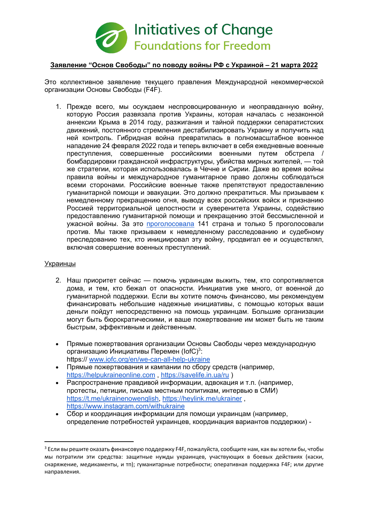

## **Заявление "Основ Свободы" по поводу войны РФ с Украиной – 21 марта 2022**

Это коллективное заявление текущего правления Международной некоммерческой организации Основы Свободы (F4F).

1. Прежде всего, мы осуждаем неспровоцированную и неоправданную войну, которую Россия развязала против Украины, которая началась с незаконной аннексии Крыма в 2014 году, разжигания и тайной поддержки сепаратистских движений, постоянного стремления дестабилизировать Украину и получить над ней контроль. Гибридная война превратилась в полномасштабное военное нападение 24 февраля 2022 года и теперь включает в себя ежедневные военные преступления, совершенные российскими военными путем обстрела / бомбардировки гражданской инфраструктуры, убийства мирных жителей, — той же стратегии, которая использовалась в Чечне и Сирии. Даже во время войны правила войны и международное гуманитарное право должны соблюдаться всеми сторонами. Российские военные также препятствуют предоставлению гуманитарной помощи и эвакуации. Это должно прекратиться. Мы призываем к немедленному прекращению огня, выводу всех российских войск и признанию Россией территориальной целостности и суверенитета Украины, содействию предоставлению гуманитарной помощи и прекращению этой бессмысленной и ужасной войны. За это проголосовала 141 страна и только 5 проголосовали против. Мы также призываем к немедленному расследованию и судебному преследованию тех, кто инициировал эту войну, продвигал ее и осуществлял, включая совершение военных преступлений.

#### Украинцы

- 2. Наш приоритет сейчас помочь украинцам выжить, тем, кто сопротивляется дома, и тем, кто бежал от опасности. Инициатив уже много, от военной до гуманитарной поддержки. Если вы хотите помочь финансово, мы рекомендуем финансировать небольшие надежные инициативы, с помощью которых ваши деньги пойдут непосредственно на помощь украинцам. Большие организации могут быть бюрократическими, и ваше пожертвование им может быть не таким быстрым, эффективным и действенным.
- Прямые пожертвования организации Основы Свободы через международную организацию Инициативы Перемен (IofC)<sup>3</sup>: https:// www.iofc.org/en/we-can-all-help-ukraine
- Прямые пожертвования и кампании по сбору средств (например, https://helpukraineonline.com , https://savelife.in.ua/ru )
- Распространение правдивой информации, адвокация и т.п. (например, протесты, петиции, письма местным политикам, интервью в СМИ) https://t.me/ukrainenowenglish, https://heylink.me/ukrainer, https://www.instagram.com/withukraine
- Сбор и координация информации для помощи украинцам (например, определение потребностей украинцев, координация вариантов поддержки) -

<sup>&</sup>lt;sup>3</sup> Если вы решите оказать финансовую поддержку F4F, пожалуйста, сообщите нам, как вы хотели бы, чтобы мы потратили эти средства: защитные нужды украинцев, участвующих в боевых действиях (каски, снаряжение, медикаменты, и тп); гуманитарные потребности; оперативная поддержка F4F; или другие направления.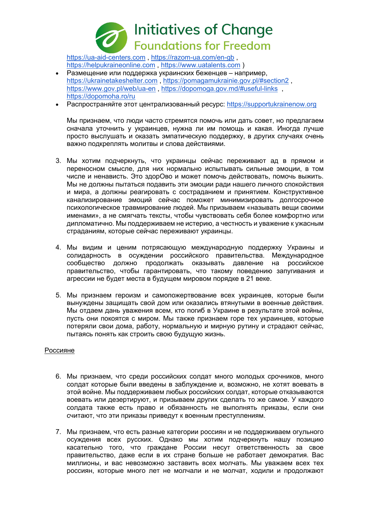

https://ua-aid-centers.com , https://razom-ua.com/en-gb , https://helpukraineonline.com , https://www.uatalents.com )

- Размещение или поддержка украинских беженцев например, https://ukrainetakeshelter.com , https://pomagamukrainie.gov.pl/#section2 , https://www.gov.pl/web/ua-en, https://dopomoga.gov.md/#useful-links, https://dopomoha.ro/ru
- Распространяйте этот централизованный ресурс: https://supportukrainenow.org

Мы признаем, что люди часто стремятся помочь или дать совет, но предлагаем сначала уточнить у украинцев, нужна ли им помощь и какая. Иногда лучше просто выслушать и оказать эмпатическую поддержку, в других случаях очень важно подкреплять молитвы и слова действиями.

- 3. Мы хотим подчеркнуть, что украинцы сейчас переживают ад в прямом и переносном смысле, для них нормально испытывать сильные эмоции, в том числе и ненависть. Это здорОво и может помочь действовать, помочь выжить. Мы не должны пытаться подавить эти эмоции ради нашего личного спокойствия и мира, а должны реагировать с состраданием и принятием. Конструктивное канализирование эмоций сейчас поможет минимизировать долгосрочное психологическое травмирование людей. Мы призываем «называть вещи своими именами», а не смягчать тексты, чтобы чувствовать себя более комфортно или дипломатично. Мы поддерживаем не истерию, а честность и уважение к ужасным страданиям, которые сейчас переживают украинцы.
- 4. Мы видим и ценим потрясающую международную поддержку Украины и солидарность в осуждении российского правительства. Международное сообщество должно продолжать оказывать давление на российское правительство, чтобы гарантировать, что такому поведению запугивания и агрессии не будет места в будущем мировом порядке в 21 веке.
- 5. Мы признаем героизм и самопожертвование всех украинцев, которые были вынуждены защищать свой дом или оказались втянутыми в военные действия. Мы отдаем дань уважения всем, кто погиб в Украине в результате этой войны, пусть они покоятся с миром. Мы также признаем горе тех украинцев, которые потеряли свои дома, работу, нормальную и мирную рутину и страдают сейчас, пытаясь понять как строить свою будущую жизнь.

#### Россияне

- 6. Мы признаем, что среди российских солдат много молодых срочников, много солдат которые были введены в заблуждение и, возможно, не хотят воевать в этой войне. Мы поддерживаем любых российских солдат, которые отказываются воевать или дезертируют, и призываем других сделать то же самое. У каждого солдата также есть право и обязанность не выполнять приказы, если они считают, что эти приказы приведут к военным преступлениям.
- 7. Мы признаем, что есть разные категории россиян и не поддерживаем огульного осуждения всех русских. Однако мы хотим подчеркнуть нашу позицию касательно того, что граждане России несут ответственность за свое правительство, даже если в их стране больше не работает демократия. Вас миллионы, и вас невозможно заставить всех молчать. Мы уважаем всех тех россиян, которые много лет не молчали и не молчат, ходили и продолжают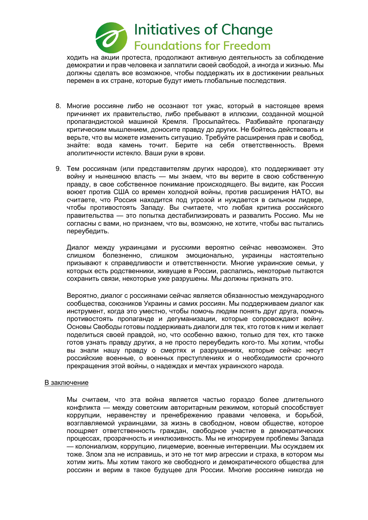

ходить на акции протеста, продолжают активную деятельность за соблюдение демократии и прав человека и заплатили своей свободой, а иногда и жизнью. Мы должны сделать все возможное, чтобы поддержать их в достижении реальных перемен в их стране, которые будут иметь глобальные последствия.

- 8. Многие россияне либо не осознают тот ужас, который в настоящее время причиняет их правительство, либо пребывают в иллюзии, созданной мощной пропагандистской машиной Кремля. Просыпайтесь. Разбивайте пропаганду критическим мышлением, доносите правду до других. Не бойтесь действовать и верьте, что вы можете изменить ситуацию. Требуйте расширения прав и свобод, знайте: вода камень точит. Берите на себя ответственность. Время аполитичности истекло. Ваши руки в крови.
- 9. Тем россиянам (или представителям других народов), кто поддерживает эту войну и нынешнюю власть — мы знаем, что вы верите в свою собственную правду, в свое собственное понимание происходящего. Вы видите, как Россия воюет против США со времен холодной войны, против расширения НАТО, вы считаете, что Россия находится под угрозой и нуждается в сильном лидере, чтобы противостоять Западу. Вы считаете, что любая критика российского правительства — это попытка дестабилизировать и развалить Россию. Мы не согласны с вами, но признаем, что вы, возможно, не хотите, чтобы вас пытались переубедить.

Диалог между украинцами и русскими вероятно сейчас невозможен. Это слишком болезненно, слишком эмоционально, украинцы настоятельно призывают к справедливости и ответственности. Многие украинские семьи, у которых есть родственники, живущие в России, распались, некоторые пытаются сохранить связи, некоторые уже разрушены. Мы должны признать это.

Вероятно, диалог с россиянами сейчас является обязанностью международного сообщества, союзников Украины и самих россиян. Мы поддерживаем диалог как инструмент, когда это уместно, чтобы помочь людям понять друг друга, помочь противостоять пропаганде и дегуманизации, которые сопровождают войну. Основы Свободы готовы поддерживать диалоги для тех, кто готов к ним и желает поделиться своей правдой, но, что особенно важно, только для тех, кто также готов узнать правду других, а не просто переубедить кого-то. Мы хотим, чтобы вы знали нашу правду о смертях и разрушениях, которые сейчас несут российские военные, о военных преступлениях и о необходимости срочного прекращения этой войны, о надеждах и мечтах украинского народа.

#### В заключение

Мы считаем, что эта война является частью гораздо более длительного конфликта — между советским авторитарным режимом, который способствует коррупции, неравенству и пренебрежению правами человека, и борьбой, возглавляемой украинцами, за жизнь в свободном, новом обществе, которое поощряет ответственность граждан, свободное участие в демократических процессах, прозрачность и инклюзивность. Мы не игнорируем проблемы Запада — колониализм, коррупцию, лицемерие, военные интервенции. Мы осуждаем их тоже. Злом зла не исправишь, и это не тот мир агрессии и страха, в котором мы хотим жить. Мы хотим такого же свободного и демократического общества для россиян и верим в такое будущее для России. Многие россияне никогда не